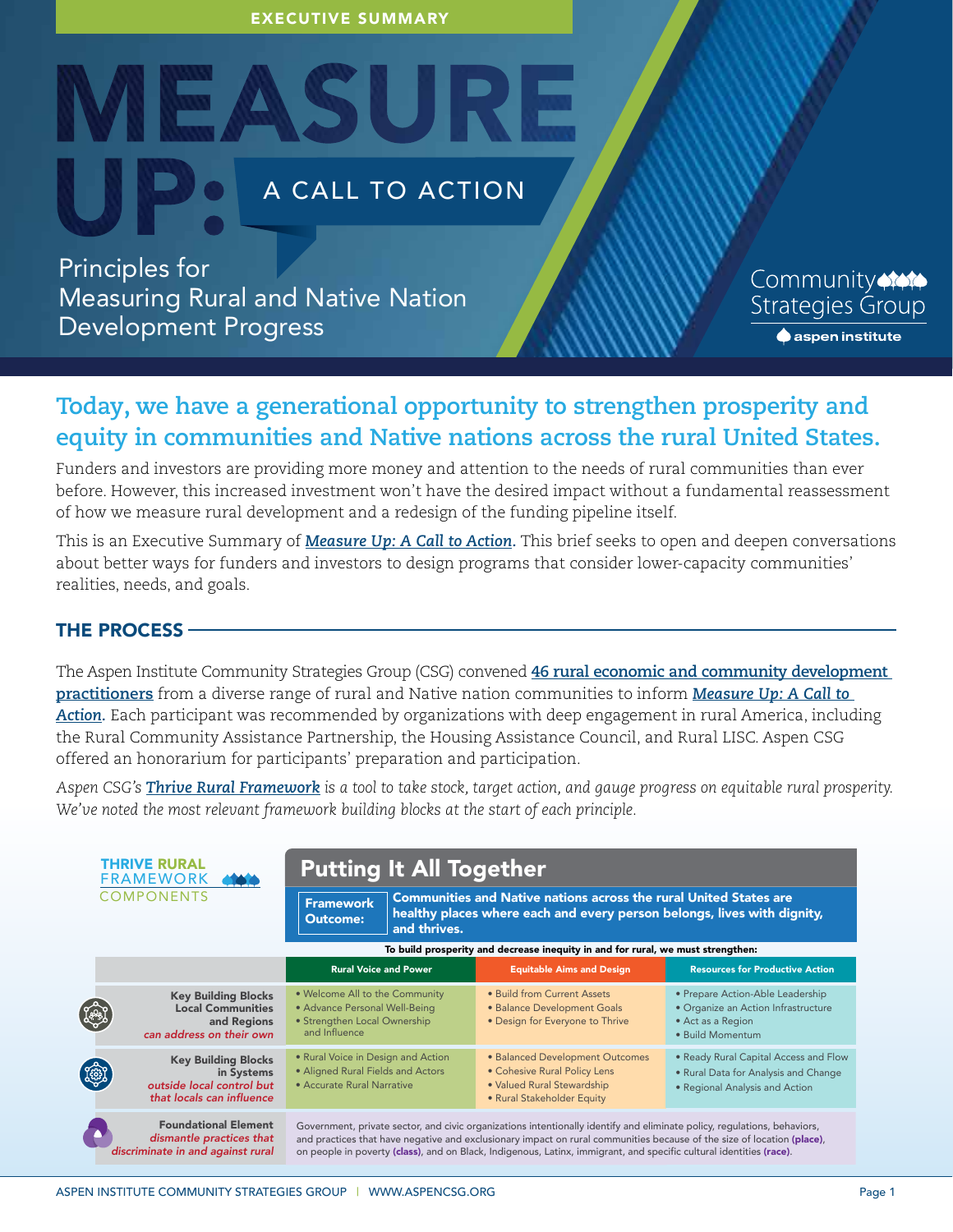EXECUTIVE SUMMARY

# A CALL TO ACTION

Principles for Measuring Rural and Native Nation Development Progress

MEASUI

Community **Strategies Group**  $\spadesuit$  aspen institute

# **Today, we have a generational opportunity to strengthen prosperity and equity in communities and Native nations across the rural United States.**

Funders and investors are providing more money and attention to the needs of rural communities than ever before. However, this increased investment won't have the desired impact without a fundamental reassessment of how we measure rural development and a redesign of the funding pipeline itself.

This is an Executive Summary of *[Measure Up: A Call to Action](https://www.aspeninstitute.org/publications/measure-up-principles-for-measuring-rural-and-native-nation-development-progress/).* This brief seeks to open and deepen conversations about better ways for funders and investors to design programs that consider lower-capacity communities' realities, needs, and goals.

### THE PROCESS

The Aspen Institute Community Strategies Group (CSG) convened **[46 rural economic and community development](https://www.aspeninstitute.org/wp-content/uploads/2022/06/TRALECall-to-Action-Participant-List.pdf) [practitioners](https://www.aspeninstitute.org/wp-content/uploads/2022/06/TRALECall-to-Action-Participant-List.pdf)** from a diverse range of rural and Native nation communities to inform *[Measure Up: A Call to](https://www.aspeninstitute.org/publications/measure-up-principles-for-measuring-rural-and-native-nation-development-progress/)  [Action](https://www.aspeninstitute.org/publications/measure-up-principles-for-measuring-rural-and-native-nation-development-progress/).* Each participant was recommended by organizations with deep engagement in rural America, including the Rural Community Assistance Partnership, the Housing Assistance Council, and Rural LISC. Aspen CSG offered an honorarium for participants' preparation and participation.

*Aspen CSG's [Thrive Rural Framework](https://www.aspeninstitute.org/programs/community-strategies-group/thrive-rural/) is a tool to take stock, target action, and gauge progress on equitable rural prosperity. We've noted the most relevant framework building blocks at the start of each principle.*

|             | <b>THRIVE RURAL</b><br><b>FRAMEWORK</b><br><b>COMPONENTS</b>                                       | <b>Putting It All Together</b><br><b>Framework</b><br><b>Outcome:</b><br>and thrives.                            | <b>Communities and Native nations across the rural United States are</b><br>healthy places where each and every person belongs, lives with dignity,                                                                                                                                                                                                                       |                                                                                                                  |
|-------------|----------------------------------------------------------------------------------------------------|------------------------------------------------------------------------------------------------------------------|---------------------------------------------------------------------------------------------------------------------------------------------------------------------------------------------------------------------------------------------------------------------------------------------------------------------------------------------------------------------------|------------------------------------------------------------------------------------------------------------------|
|             | To build prosperity and decrease inequity in and for rural, we must strengthen:                    |                                                                                                                  |                                                                                                                                                                                                                                                                                                                                                                           |                                                                                                                  |
|             |                                                                                                    | <b>Rural Voice and Power</b>                                                                                     | <b>Equitable Aims and Design</b>                                                                                                                                                                                                                                                                                                                                          | <b>Resources for Productive Action</b>                                                                           |
| 49          | <b>Key Building Blocks</b><br><b>Local Communities</b><br>and Regions<br>can address on their own  | . Welcome All to the Community<br>· Advance Personal Well-Being<br>• Strengthen Local Ownership<br>and Influence | • Build from Current Assets<br>· Balance Development Goals<br>• Design for Everyone to Thrive                                                                                                                                                                                                                                                                             | • Prepare Action-Able Leadership<br>· Organize an Action Infrastructure<br>• Act as a Region<br>• Build Momentum |
| <b>REED</b> | <b>Key Building Blocks</b><br>in Systems<br>outside local control but<br>that locals can influence | • Rural Voice in Design and Action<br>• Aligned Rural Fields and Actors<br>• Accurate Rural Narrative            | • Balanced Development Outcomes<br>• Cohesive Rural Policy Lens<br>• Valued Rural Stewardship<br>• Rural Stakeholder Equity                                                                                                                                                                                                                                               | . Ready Rural Capital Access and Flow<br>• Rural Data for Analysis and Change<br>• Regional Analysis and Action  |
|             | <b>Foundational Element</b><br>dismantle practices that<br>discriminate in and against rural       |                                                                                                                  | Government, private sector, and civic organizations intentionally identify and eliminate policy, regulations, behaviors,<br>and practices that have negative and exclusionary impact on rural communities because of the size of location (place),<br>on people in poverty (class), and on Black, Indigenous, Latinx, immigrant, and specific cultural identities (race). |                                                                                                                  |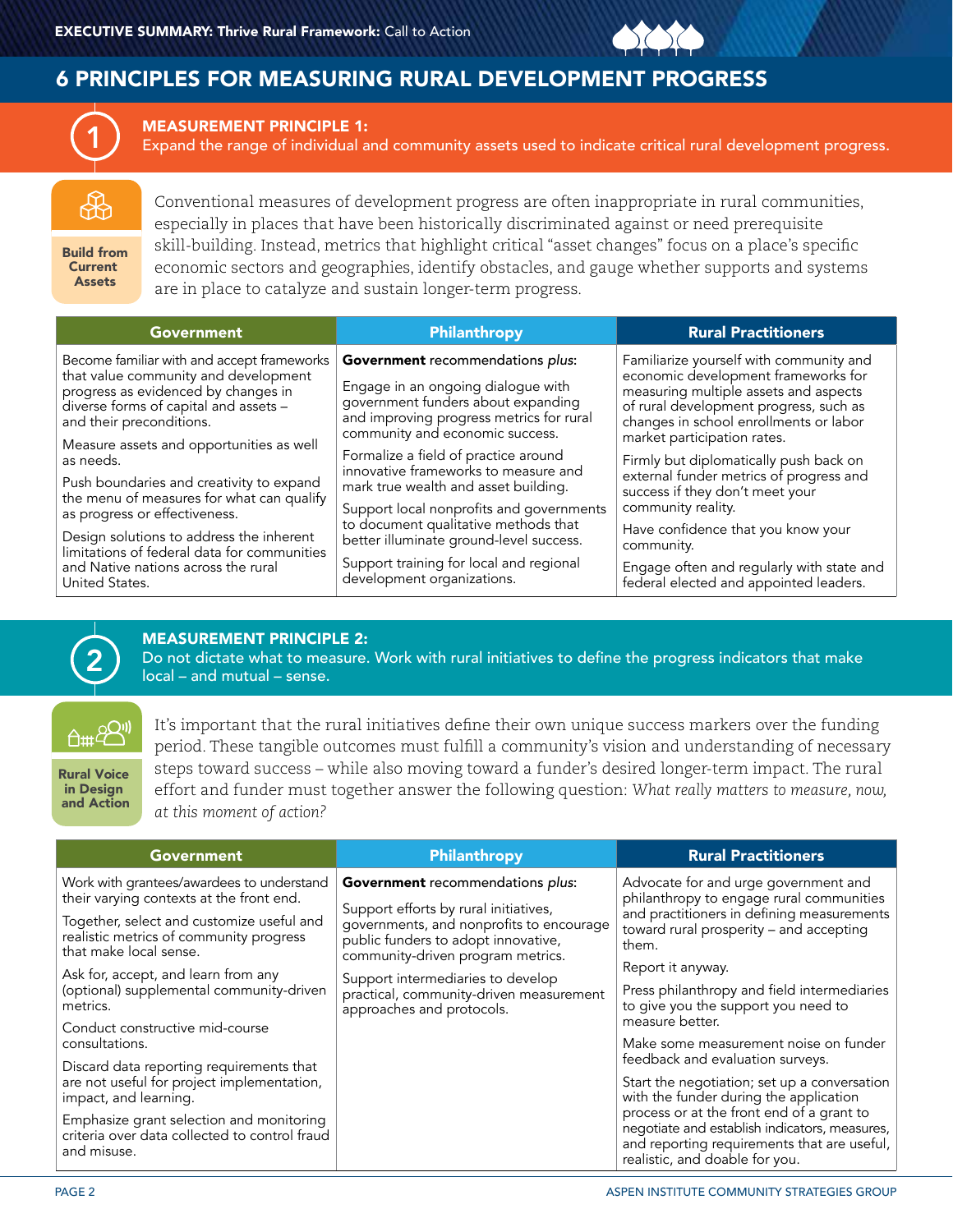## 6 PRINCIPLES FOR MEASURING RURAL DEVELOPMENT PROGRESS



MEASUREMENT PRINCIPLE 1:

Expand the range of individual and community assets used to indicate critical rural development progress.

Build from Current Assets

Conventional measures of development progress are often inappropriate in rural communities, especially in places that have been historically discriminated against or need prerequisite skill-building. Instead, metrics that highlight critical "asset changes" focus on a place's specific economic sectors and geographies, identify obstacles, and gauge whether supports and systems are in place to catalyze and sustain longer-term progress.

| <b>Government</b>                                                                                                                                                                              | Philanthropy                                                                                                                                                                                | <b>Rural Practitioners</b>                                                                                                                                                                                  |
|------------------------------------------------------------------------------------------------------------------------------------------------------------------------------------------------|---------------------------------------------------------------------------------------------------------------------------------------------------------------------------------------------|-------------------------------------------------------------------------------------------------------------------------------------------------------------------------------------------------------------|
| Become familiar with and accept frameworks<br>that value community and development<br>progress as evidenced by changes in<br>diverse forms of capital and assets -<br>and their preconditions. | Government recommendations plus:<br>Engage in an ongoing dialogue with<br>government funders about expanding<br>and improving progress metrics for rural<br>community and economic success. | Familiarize yourself with community and<br>economic development frameworks for<br>measuring multiple assets and aspects<br>of rural development progress, such as<br>changes in school enrollments or labor |
| Measure assets and opportunities as well<br>as needs.                                                                                                                                          | Formalize a field of practice around<br>innovative frameworks to measure and                                                                                                                | market participation rates.<br>Firmly but diplomatically push back on<br>external funder metrics of progress and                                                                                            |
| Push boundaries and creativity to expand<br>the menu of measures for what can qualify<br>as progress or effectiveness.                                                                         | mark true wealth and asset building.<br>Support local nonprofits and governments<br>to document qualitative methods that                                                                    | success if they don't meet your<br>community reality.                                                                                                                                                       |
| Design solutions to address the inherent<br>limitations of federal data for communities                                                                                                        | better illuminate ground-level success.                                                                                                                                                     | Have confidence that you know your<br>community.                                                                                                                                                            |
| and Native nations across the rural<br>United States.                                                                                                                                          | Support training for local and regional<br>development organizations.                                                                                                                       | Engage often and regularly with state and<br>federal elected and appointed leaders.                                                                                                                         |



### MEASUREMENT PRINCIPLE 2:

Do not dictate what to measure. Work with rural initiatives to define the progress indicators that make local – and mutual – sense.

**A#4<sup>2011</sup>** 

Rural Voice in Design and Action It's important that the rural initiatives define their own unique success markers over the funding period. These tangible outcomes must fulfill a community's vision and understanding of necessary steps toward success – while also moving toward a funder's desired longer-term impact. The rural effort and funder must together answer the following question: *What really matters to measure, now, at this moment of action?*

| <b>Government</b>                                                                                               | Philanthropy                                                                                                                                                                                             | <b>Rural Practitioners</b>                                                                                                                                                         |
|-----------------------------------------------------------------------------------------------------------------|----------------------------------------------------------------------------------------------------------------------------------------------------------------------------------------------------------|------------------------------------------------------------------------------------------------------------------------------------------------------------------------------------|
| Work with grantees/awardees to understand<br>their varying contexts at the front end.                           | <b>Government</b> recommendations plus:<br>Support efforts by rural initiatives,<br>governments, and nonprofits to encourage<br>public funders to adopt innovative,<br>community-driven program metrics. | Advocate for and urge government and<br>philanthropy to engage rural communities<br>and practitioners in defining measurements<br>toward rural prosperity - and accepting<br>them. |
| Together, select and customize useful and<br>realistic metrics of community progress<br>that make local sense.  |                                                                                                                                                                                                          |                                                                                                                                                                                    |
| Ask for, accept, and learn from any                                                                             | Support intermediaries to develop                                                                                                                                                                        | Report it anyway.                                                                                                                                                                  |
| (optional) supplemental community-driven<br>metrics.                                                            | practical, community-driven measurement<br>approaches and protocols.                                                                                                                                     | Press philanthropy and field intermediaries<br>to give you the support you need to<br>measure better.                                                                              |
| Conduct constructive mid-course                                                                                 |                                                                                                                                                                                                          |                                                                                                                                                                                    |
| consultations.                                                                                                  |                                                                                                                                                                                                          | Make some measurement noise on funder<br>feedback and evaluation surveys.                                                                                                          |
| Discard data reporting requirements that<br>are not useful for project implementation,<br>impact, and learning. |                                                                                                                                                                                                          | Start the negotiation; set up a conversation<br>with the funder during the application                                                                                             |
| Emphasize grant selection and monitoring<br>criteria over data collected to control fraud<br>and misuse.        |                                                                                                                                                                                                          | process or at the front end of a grant to<br>negotiate and establish indicators, measures,<br>and reporting requirements that are useful,<br>realistic, and doable for you.        |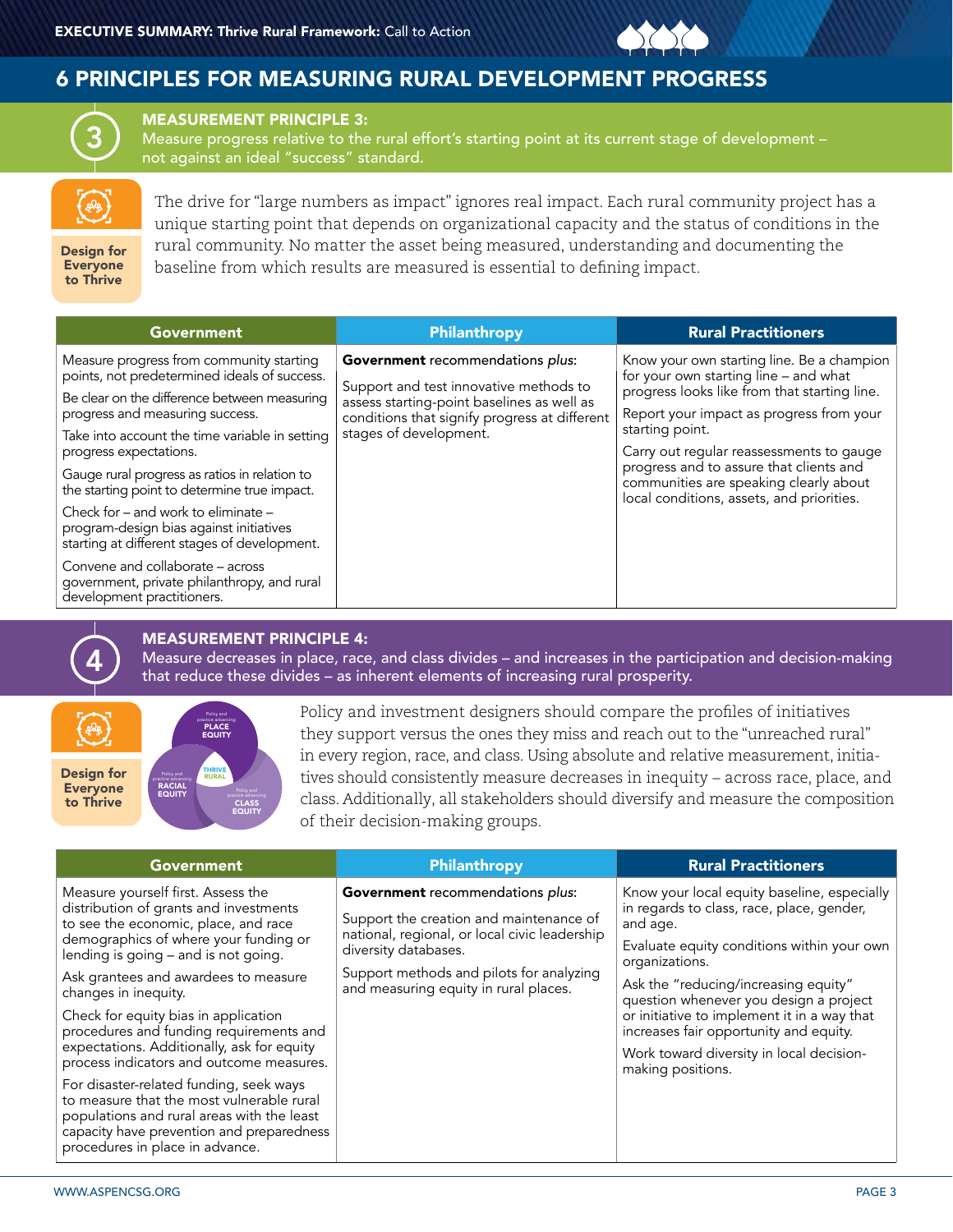# 6 PRINCIPLES FOR MEASURING RURAL DEVELOPMENT PROGRESS



MEASUREMENT PRINCIPLE 3:

Measure progress relative to the rural effort's starting point at its current stage of development – not against an ideal "success" standard.

The drive for "large numbers as impact" ignores real impact. Each rural community project has a unique starting point that depends on organizational capacity and the status of conditions in the rural community. No matter the asset being measured, understanding and documenting the baseline from which results are measured is essential to defining impact.

Design for Everyone to Thrive

| <b>Government</b>                                                                                                              | Philanthropy                                                                                | <b>Rural Practitioners</b>                                                                                                     |
|--------------------------------------------------------------------------------------------------------------------------------|---------------------------------------------------------------------------------------------|--------------------------------------------------------------------------------------------------------------------------------|
| Measure progress from community starting<br>points, not predetermined ideals of success.                                       | Government recommendations plus:<br>Support and test innovative methods to                  | Know your own starting line. Be a champion<br>for your own starting line - and what                                            |
| Be clear on the difference between measuring<br>progress and measuring success.                                                | assess starting-point baselines as well as<br>conditions that signify progress at different | progress looks like from that starting line.<br>Report your impact as progress from your                                       |
| Take into account the time variable in setting<br>progress expectations.                                                       | stages of development.                                                                      | starting point.<br>Carry out regular reassessments to gauge                                                                    |
| Gauge rural progress as ratios in relation to<br>the starting point to determine true impact.                                  |                                                                                             | progress and to assure that clients and<br>communities are speaking clearly about<br>local conditions, assets, and priorities. |
| Check for – and work to eliminate –<br>program-design bias against initiatives<br>starting at different stages of development. |                                                                                             |                                                                                                                                |
| Convene and collaborate – across<br>government, private philanthropy, and rural<br>development practitioners.                  |                                                                                             |                                                                                                                                |



### MEASUREMENT PRINCIPLE 4:

Measure decreases in place, race, and class divides – and increases in the participation and decision-making that reduce these divides – as inherent elements of increasing rural prosperity.



PLACE EQUITY CLASS EQUITY practice advancing

Policy and investment designers should compare the profiles of initiatives they support versus the ones they miss and reach out to the "unreached rural" in every region, race, and class. Using absolute and relative measurement, initiatives should consistently measure decreases in inequity – across race, place, and class. Additionally, all stakeholders should diversify and measure the composition of their decision-making groups.

Measure yourself first. Assess the distribution of grants and investments to see the economic, place, and race demographics of where your funding or lending is going – and is not going.

Ask grantees and awardees to measure changes in inequity.

Check for equity bias in application procedures and funding requirements and expectations. Additionally, ask for equity process indicators and outcome measures.

For disaster-related funding, seek ways to measure that the most vulnerable rural populations and rural areas with the least capacity have prevention and preparedness procedures in place in advance.

Support the creation and maintenance of national, regional, or local civic leadership diversity databases.

Support methods and pilots for analyzing and measuring equity in rural places.

#### Government **Philanthropy Rural Practitioners** Philanthropy **Rural Practitioners**

**Government** recommendations *plus*: Know your local equity baseline, especially in regards to class, race, place, gender, and age.

> Evaluate equity conditions within your own organizations.

Ask the "reducing/increasing equity" question whenever you design a project or initiative to implement it in a way that increases fair opportunity and equity.

Work toward diversity in local decisionmaking positions.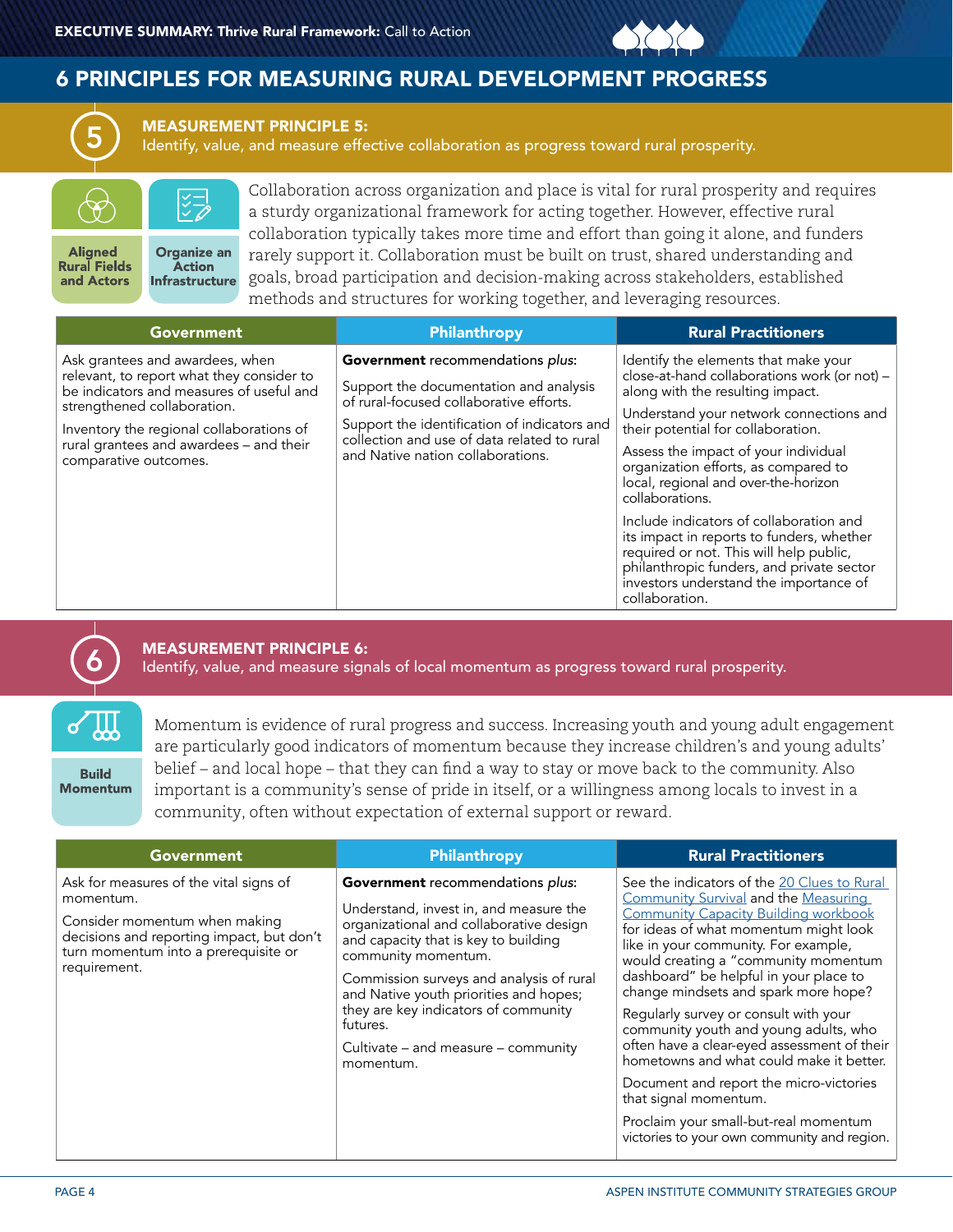# 6 PRINCIPLES FOR MEASURING RURAL DEVELOPMENT PROGRESS



#### MEASUREMENT PRINCIPLE 5:

Identify, value, and measure effective collaboration as progress toward rural prosperity.



Collaboration across organization and place is vital for rural prosperity and requires a sturdy organizational framework for acting together. However, effective rural collaboration typically takes more time and effort than going it alone, and funders rarely support it. Collaboration must be built on trust, shared understanding and goals, broad participation and decision-making across stakeholders, established methods and structures for working together, and leveraging resources.

| Government                                                                                                                                                                                                                                                              | Philanthropy                                                                                                                                                                                                                                                     | <b>Rural Practitioners</b>                                                                                                                                                                                                                                                                                                                                                                                                                                                                                                                                                                       |
|-------------------------------------------------------------------------------------------------------------------------------------------------------------------------------------------------------------------------------------------------------------------------|------------------------------------------------------------------------------------------------------------------------------------------------------------------------------------------------------------------------------------------------------------------|--------------------------------------------------------------------------------------------------------------------------------------------------------------------------------------------------------------------------------------------------------------------------------------------------------------------------------------------------------------------------------------------------------------------------------------------------------------------------------------------------------------------------------------------------------------------------------------------------|
| Ask grantees and awardees, when<br>relevant, to report what they consider to<br>be indicators and measures of useful and<br>strengthened collaboration.<br>Inventory the regional collaborations of<br>rural grantees and awardees - and their<br>comparative outcomes. | <b>Government</b> recommendations plus:<br>Support the documentation and analysis<br>of rural-focused collaborative efforts.<br>Support the identification of indicators and<br>collection and use of data related to rural<br>and Native nation collaborations. | Identify the elements that make your<br>close-at-hand collaborations work (or not) -<br>along with the resulting impact.<br>Understand your network connections and<br>their potential for collaboration.<br>Assess the impact of your individual<br>organization efforts, as compared to<br>local, regional and over-the-horizon<br>collaborations.<br>Include indicators of collaboration and<br>its impact in reports to funders, whether<br>required or not. This will help public,<br>philanthropic funders, and private sector<br>investors understand the importance of<br>collaboration. |

# 6

### MEASUREMENT PRINCIPLE 6:

Identify, value, and measure signals of local momentum as progress toward rural prosperity.

**Build Momentum**  Momentum is evidence of rural progress and success. Increasing youth and young adult engagement are particularly good indicators of momentum because they increase children's and young adults' belief – and local hope – that they can find a way to stay or move back to the community. Also important is a community's sense of pride in itself, or a willingness among locals to invest in a community, often without expectation of external support or reward.

| Government                                                                                                                                                                                | Philanthropy                                                                                                                                                                                                                                                                                                                                                                       | <b>Rural Practitioners</b>                                                                                                                                                                                                                                                                                                                                                                                                                                                                                                                                                                                                                                                             |
|-------------------------------------------------------------------------------------------------------------------------------------------------------------------------------------------|------------------------------------------------------------------------------------------------------------------------------------------------------------------------------------------------------------------------------------------------------------------------------------------------------------------------------------------------------------------------------------|----------------------------------------------------------------------------------------------------------------------------------------------------------------------------------------------------------------------------------------------------------------------------------------------------------------------------------------------------------------------------------------------------------------------------------------------------------------------------------------------------------------------------------------------------------------------------------------------------------------------------------------------------------------------------------------|
| Ask for measures of the vital signs of<br>momentum.<br>Consider momentum when making<br>decisions and reporting impact, but don't<br>turn momentum into a prerequisite or<br>requirement. | Government recommendations plus:<br>Understand, invest in, and measure the<br>organizational and collaborative design<br>and capacity that is key to building<br>community momentum.<br>Commission surveys and analysis of rural<br>and Native youth priorities and hopes;<br>they are key indicators of community<br>futures.<br>Cultivate – and measure – community<br>momentum. | See the indicators of the 20 Clues to Rural<br>Community Survival and the Measuring<br><b>Community Capacity Building workbook</b><br>for ideas of what momentum might look<br>like in your community. For example,<br>would creating a "community momentum<br>dashboard" be helpful in your place to<br>change mindsets and spark more hope?<br>Regularly survey or consult with your<br>community youth and young adults, who<br>often have a clear-eyed assessment of their<br>hometowns and what could make it better.<br>Document and report the micro-victories<br>that signal momentum.<br>Proclaim your small-but-real momentum<br>victories to your own community and region. |